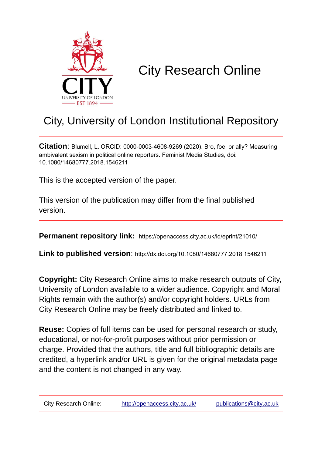

# City Research Online

# City, University of London Institutional Repository

**Citation**: Blumell, L. ORCID: 0000-0003-4608-9269 (2020). Bro, foe, or ally? Measuring ambivalent sexism in political online reporters. Feminist Media Studies, doi: 10.1080/14680777.2018.1546211

This is the accepted version of the paper.

This version of the publication may differ from the final published version.

**Permanent repository link:** https://openaccess.city.ac.uk/id/eprint/21010/

**Link to published version**: http://dx.doi.org/10.1080/14680777.2018.1546211

**Copyright:** City Research Online aims to make research outputs of City, University of London available to a wider audience. Copyright and Moral Rights remain with the author(s) and/or copyright holders. URLs from City Research Online may be freely distributed and linked to.

**Reuse:** Copies of full items can be used for personal research or study, educational, or not-for-profit purposes without prior permission or charge. Provided that the authors, title and full bibliographic details are credited, a hyperlink and/or URL is given for the original metadata page and the content is not changed in any way.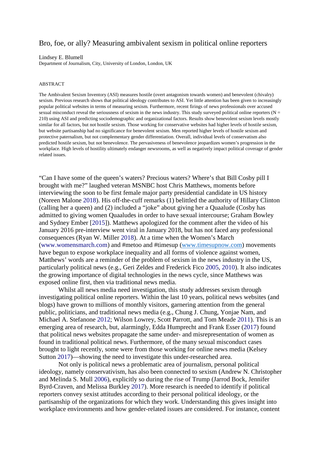# Bro, foe, or ally? Measuring ambivalent sexism in political online reporters

#### Lindsey E. Blumell

Department of Journalism, City, University of London, London, UK

#### ABSTRACT

The Ambivalent Sexism Inventory (ASI) measures hostile (overt antagonism towards women) and benevolent (chivalry) sexism. Previous research shows that political ideology contributes to ASI. Yet little attention has been given to increasingly popular political websites in terms of measuring sexism. Furthermore, recent firings of news professionals over accused sexual misconduct reveal the seriousness of sexism in the news industry. This study surveyed political online reporters ( $N =$ 210) using ASI and predicting sociodemographic and organizational factors. Results show benevolent sexism levels mostly similar for all factors, but not hostile sexism. Those working for conservative websites had higher levels of hostile sexism, but website partisanship had no significance for benevolent sexism. Men reported higher levels of hostile sexism and protective paternalism, but not complementary gender differentiation. Overall, individual levels of conservatism also predicted hostile sexism, but not benevolence. The pervasiveness of benevolence jeopardizes women's progression in the workplace. High levels of hostility ultimately endanger newsrooms, as well as negatively impact political coverage of gender related issues.

"Can I have some of the queen's waters? Precious waters? Where's that Bill Cosby pill I brought with me?" laughed veteran MSNBC host Chris Matthews, moments before interviewing the soon to be first female major party presidential candidate in US history (Noreen Malone 2018). His off-the-cuff remarks (1) belittled the authority of Hillary Clinton (calling her a queen) and (2) included a "joke" about giving her a Quaalude (Cosby has admitted to giving women Quaaludes in order to have sexual intercourse; Graham Bowley and Sydney Ember [2015]). Matthews apologized for the comment after the video of his January 2016 pre-interview went viral in January 2018, but has not faced any professional consequences (Ryan W. Miller 2018). At a time when the Women's March (www.womensmarch.com) and #metoo and #timesup [\(www.timesupnow.com\)](http://www.timesupnow.com/) movements have begun to expose workplace inequality and all forms of violence against women, Matthews' words are a reminder of the problem of sexism in the news industry in the US, particularly political news (e.g., Geri Zeldes and Frederick Fico 2005, 2010). It also indicates the growing importance of digital technologies in the news cycle, since Matthews was exposed online first, then via traditional news media.

Whilst all news media need investigation, this study addresses sexism through investigating political online reporters. Within the last 10 years, political news websites (and blogs) have grown to millions of monthly visitors, garnering attention from the general public, politicians, and traditional news media (e.g., Chung J. Chung, Yonjae Nam, and Michael A. Stefanone 2012; Wilson Lowrey, Scott Parrott, and Tom Meade 2011). This is an emerging area of research, but, alarmingly, Edda Humprecht and Frank Esser (2017) found that political news websites propagate the same under- and misrepresentation of women as found in traditional political news. Furthermore, of the many sexual misconduct cases brought to light recently, some were from those working for online news media (Kelsey Sutton 2017)—showing the need to investigate this under-researched area.

Not only is political news a problematic area of journalism, personal political ideology, namely conservativism, has also been connected to sexism (Andrew N. Christopher and Melinda S. Mull 2006), explicitly so during the rise of Trump (Jarrod Bock, Jennifer Byrd-Craven, and Melissa Burkley 2017). More research is needed to identify if political reporters convey sexist attitudes according to their personal political ideology, or the partisanship of the organizations for which they work. Understanding this gives insight into workplace environments and how gender-related issues are considered. For instance, content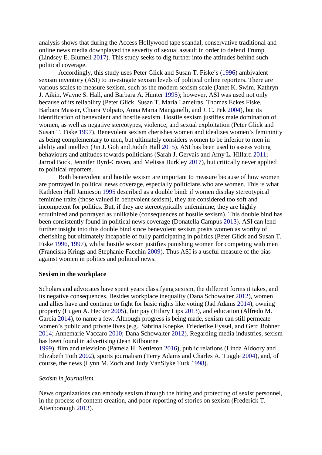analysis shows that during the Access Hollywood tape scandal, conservative traditional and online news media downplayed the severity of sexual assault in order to defend Trump (Lindsey E. Blumell 2017). This study seeks to dig further into the attitudes behind such political coverage.

Accordingly, this study uses Peter Glick and Susan T. Fiske's (1996) ambivalent sexism inventory (ASI) to investigate sexism levels of political online reporters. There are various scales to measure sexism, such as the modern sexism scale (Janet K. Swim, Kathryn J. Aikin, Wayne S. Hall, and Barbara A. Hunter 1995); however, ASI was used not only because of its reliability (Peter Glick, Susan T. Maria Lameiras, Thomas Eckes Fiske, Barbara Masser, Chiara Volpato, Anna Maria Manganelli, and J. C. Pek 2004), but its identification of benevolent and hostile sexism. Hostile sexism justifies male domination of women, as well as negative stereotypes, violence, and sexual exploitation (Peter Glick and Susan T. Fiske 1997). Benevolent sexism cherishes women and idealizes women's femininity as being complementary to men, but ultimately considers women to be inferior to men in ability and intellect (Jin J. Goh and Judith Hall 2015). ASI has been used to assess voting behaviours and attitudes towards politicians (Sarah J. Gervais and Amy L. Hillard 2011; Jarrod Bock, Jennifer Byrd-Craven, and Melissa Burkley 2017), but critically never applied to political reporters.

Both benevolent and hostile sexism are important to measure because of how women are portrayed in political news coverage, especially politicians who are women. This is what Kathleen Hall Jamieson 1995 described as a double bind: if women display stereotypical feminine traits (those valued in benevolent sexism), they are considered too soft and incompetent for politics. But, if they are stereotypically unfeminine, they are highly scrutinized and portrayed as unlikable (consequences of hostile sexism). This double bind has been consistently found in political news coverage (Donatella Campus 2013). ASI can lend further insight into this double bind since benevolent sexism posits women as worthy of cherishing but ultimately incapable of fully participating in politics (Peter Glick and Susan T. Fiske 1996, 1997), whilst hostile sexism justifies punishing women for competing with men (Franciska Krings and Stephanie Facchin 2009). Thus ASI is a useful measure of the bias against women in politics and political news.

#### **Sexism in the workplace**

Scholars and advocates have spent years classifying sexism, the different forms it takes, and its negative consequences. Besides workplace inequality (Dana Schowalter 2012), women and allies have and continue to fight for basic rights like voting (Jad Adams 2014), owning property (Eugen A. Hecker 2005), fair pay (Hilary Lips 2013), and education (Alfredo M. Garcia 2014), to name a few. Although progress is being made, sexism can still permeate women's public and private lives (e.g., Sabrina Koepke, Friederike Eyssel, and Gerd Bohner 2014; Annemarie Vaccaro 2010; Dana Schowalter 2012). Regarding media industries, sexism has been found in advertising (Jean Kilbourne

1999), film and television (Pamela H. Nettleton 2016), public relations (Linda Aldoory and Elizabeth Toth 2002), sports journalism (Terry Adams and Charles A. Tuggle 2004), and, of course, the news (Lynn M. Zoch and Judy VanSlyke Turk 1998).

#### *Sexism in journalism*

News organizations can embody sexism through the hiring and protecting of sexist personnel, in the process of content creation, and poor reporting of stories on sexism (Frederick T. Attenborough 2013).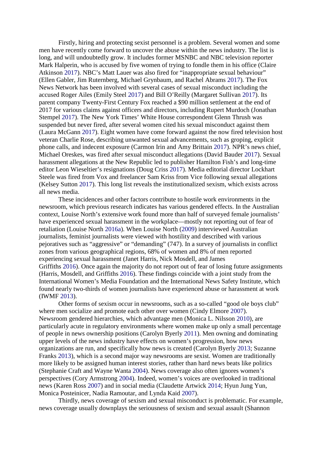Firstly, hiring and protecting sexist personnel is a problem. Several women and some men have recently come forward to uncover the abuse within the news industry. The list is long, and will undoubtedly grow. It includes former MSNBC and NBC television reporter Mark Halperin, who is accused by five women of trying to fondle them in his office (Claire Atkinson 2017). NBC's Matt Lauer was also fired for "inappropriate sexual behaviour" (Ellen Gabler, Jim Ruternberg, Michael Grynbaum, and Rachel Abrams 2017). The Fox News Network has been involved with several cases of sexual misconduct including the accused Roger Ailes (Emily Steel 2017) and Bill O'Reilly (Margaret Sullivan 2017). Its parent company Twenty-First Century Fox reached a \$90 million settlement at the end of 2017 for various claims against officers and directors, including Rupert Murdoch (Jonathan Stempel 2017). The New York Times' White House correspondent Glenn Thrush was suspended but never fired, after several women cited his sexual misconduct against them (Laura McGann 2017). Eight women have come forward against the now fired television host veteran Charlie Rose, describing unwanted sexual advancements, such as groping, explicit phone calls, and indecent exposure (Carmon Irin and Amy Brittain 2017). NPR's news chief, Michael Oreskes, was fired after sexual misconduct allegations (David Bauder 2017). Sexual harassment allegations at the New Republic led to publisher Hamilton Fish's and long-time editor Leon Wieseltier's resignations (Doug Criss 2017). Media editorial director Lockhart Steele was fired from Vox and freelancer Sam Kriss from Vice following sexual allegations (Kelsey Sutton 2017). This long list reveals the institutionalized sexism, which exists across all news media.

These incidences and other factors contribute to hostile work environments in the newsroom, which previous research indicates has various gendered effects. In the Australian context, Louise North's extensive work found more than half of surveyed female journalists' have experienced sexual harassment in the workplace—mostly not reporting out of fear of retaliation (Louise North 2016a). When Louise North (2009) interviewed Australian journalists, feminist journalists were viewed with hostility and described with various pejoratives such as "aggressive" or "demanding" (747). In a survey of journalists in conflict zones from various geographical regions, 68% of women and 8% of men reported experiencing sexual harassment (Janet Harris, Nick Mosdell, and James Griffiths 2016). Once again the majority do not report out of fear of losing future assignments (Harris, Mosdell, and Griffiths 2016). These findings coincide with a joint study from the International Women's Media Foundation and the International News Safety Institute, which found nearly two-thirds of women journalists have experienced abuse or harassment at work (IWMF 2013).

Other forms of sexism occur in newsrooms, such as a so-called "good ole boys club" where men socialize and promote each other over women (Cindy Elmore 2007). Newsroom gendered hierarchies, which advantage men (Monica L. Nilsson 2010), are particularly acute in regulatory environments where women make up only a small percentage of people in news ownership positions (Carolyn Byerly 2011). Men owning and dominating upper levels of the news industry have effects on women's progression, how news organizations are run, and specifically how news is created (Carolyn Byerly 2013; Suzanne Franks 2013), which is a second major way newsrooms are sexist. Women are traditionally more likely to be assigned human interest stories, rather than hard news beats like politics (Stephanie Craft and Wayne Wanta 2004). News coverage also often ignores women's perspectives (Cory Armstrong 2004). Indeed, women's voices are overlooked in traditional news (Karen Ross 2007) and in social media (Claudette Artwick 2014; Hyun Jung Yun, Monica Posteinicer, Nadia Ramoutar, and Lynda Kaid 2007).

Thirdly, news coverage of sexism and sexual misconduct is problematic. For example, news coverage usually downplays the seriousness of sexism and sexual assault (Shannon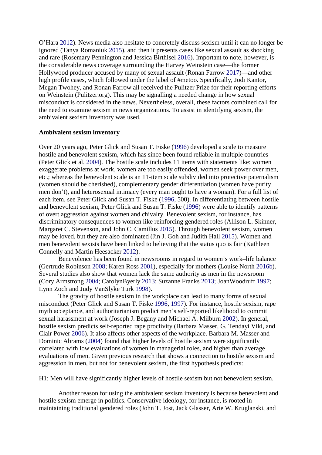O'Hara 2012). News media also hesitate to concretely discuss sexism until it can no longer be ignored (Tanya Romaniuk 2015), and then it presents cases like sexual assault as shocking and rare (Rosemary Pennington and Jessica Birthisel 2016). Important to note, however, is the considerable news coverage surrounding the Harvey Weinstein case—the former Hollywood producer accused by many of sexual assault (Ronan Farrow 2017)—and other high profile cases, which followed under the label of #metoo. Specifically, Jodi Kantor, Megan Twohey, and Ronan Farrow all received the Pulitzer Prize for their reporting efforts on Weinstein (Pulitzer.org). This may be signalling a needed change in how sexual misconduct is considered in the news. Nevertheless, overall, these factors combined call for the need to examine sexism in news organizations. To assist in identifying sexism, the ambivalent sexism inventory was used.

#### **Ambivalent sexism inventory**

Over 20 years ago, Peter Glick and Susan T. Fiske (1996) developed a scale to measure hostile and benevolent sexism, which has since been found reliable in multiple countries (Peter Glick et al. 2004). The hostile scale includes 11 items with statements like: women exaggerate problems at work, women are too easily offended, women seek power over men, etc.; whereas the benevolent scale is an 11-item scale subdivided into protective paternalism (women should be cherished), complementary gender differentiation (women have purity men don't), and heterosexual intimacy (every man ought to have a woman). For a full list of each item, see Peter Glick and Susan T. Fiske (1996, 500). In differentiating between hostile and benevolent sexism, Peter Glick and Susan T. Fiske (1996) were able to identify patterns of overt aggression against women and chivalry. Benevolent sexism, for instance, has discriminatory consequences to women like reinforcing gendered roles (Allison L. Skinner, Margaret C. Stevenson, and John C. Camillus 2015). Through benevolent sexism, women may be loved, but they are also dominated (Jin J. Goh and Judith Hall 2015). Women and men benevolent sexists have been linked to believing that the status quo is fair (Kathleen Connelly and Martin Heesacker 2012).

Benevolence has been found in newsrooms in regard to women's work–life balance (Gertrude Robinson 2008; Karen Ross 2001), especially for mothers (Louise North 2016b). Several studies also show that women lack the same authority as men in the newsroom (Cory Armstrong 2004; CarolynByerly 2013; Suzanne Franks 2013; JoanWoodruff 1997; Lynn Zoch and Judy VanSlyke Turk 1998).

The gravity of hostile sexism in the workplace can lead to many forms of sexual misconduct (Peter Glick and Susan T. Fiske 1996, 1997). For instance, hostile sexism, rape myth acceptance, and authoritarianism predict men's self-reported likelihood to commit sexual harassment at work (Joseph J. Begany and Michael A. Milburn 2002). In general, hostile sexism predicts self-reported rape proclivity (Barbara Masser, G. Tendayi Viki, and Clair Power 2006). It also affects other aspects of the workplace. Barbara M. Masser and Dominic Abrams (2004) found that higher levels of hostile sexism were significantly correlated with low evaluations of women in managerial roles, and higher than average evaluations of men. Given previous research that shows a connection to hostile sexism and aggression in men, but not for benevolent sexism, the first hypothesis predicts:

H1: Men will have significantly higher levels of hostile sexism but not benevolent sexism.

Another reason for using the ambivalent sexism inventory is because benevolent and hostile sexism emerge in politics. Conservative ideology, for instance, is rooted in maintaining traditional gendered roles (John T. Jost, Jack Glasser, Arie W. Kruglanski, and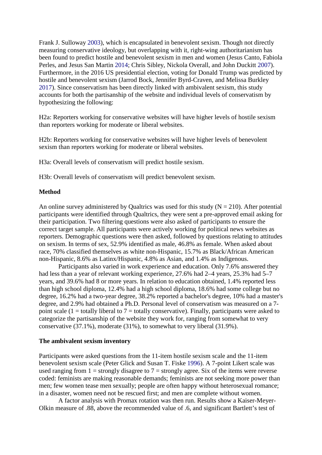Frank J. Sulloway 2003), which is encapsulated in benevolent sexism. Though not directly measuring conservative ideology, but overlapping with it, right-wing authoritarianism has been found to predict hostile and benevolent sexism in men and women (Jesus Canto, Fabiola Perles, and Jesus San Martin 2014; Chris Sibley, Nickola Overall, and John Duckitt 2007). Furthermore, in the 2016 US presidential election, voting for Donald Trump was predicted by hostile and benevolent sexism (Jarrod Bock, Jennifer Byrd-Craven, and Melissa Burkley 2017). Since conservatism has been directly linked with ambivalent sexism, this study accounts for both the partisanship of the website and individual levels of conservatism by hypothesizing the following:

H2a: Reporters working for conservative websites will have higher levels of hostile sexism than reporters working for moderate or liberal websites.

H2b: Reporters working for conservative websites will have higher levels of benevolent sexism than reporters working for moderate or liberal websites.

H3a: Overall levels of conservatism will predict hostile sexism.

H3b: Overall levels of conservatism will predict benevolent sexism.

#### **Method**

An online survey administered by Qualtrics was used for this study  $(N = 210)$ . After potential participants were identified through Qualtrics, they were sent a pre-approved email asking for their participation. Two filtering questions were also asked of participants to ensure the correct target sample. All participants were actively working for political news websites as reporters. Demographic questions were then asked, followed by questions relating to attitudes on sexism. In terms of sex, 52.9% identified as male, 46.8% as female. When asked about race, 70% classified themselves as white non-Hispanic, 15.7% as Black/African American non-Hispanic, 8.6% as Latinx/Hispanic, 4.8% as Asian, and 1.4% as Indigenous.

Participants also varied in work experience and education. Only 7.6% answered they had less than a year of relevant working experience, 27.6% had 2–4 years, 25.3% had 5–7 years, and 39.6% had 8 or more years. In relation to education obtained, 1.4% reported less than high school diploma, 12.4% had a high school diploma, 18.6% had some college but no degree, 16.2% had a two-year degree, 38.2% reported a bachelor's degree, 10% had a master's degree, and 2.9% had obtained a Ph.D. Personal level of conservatism was measured on a 7 point scale (1 = totally liberal to  $7 =$  totally conservative). Finally, participants were asked to categorize the partisanship of the website they work for, ranging from somewhat to very conservative (37.1%), moderate (31%), to somewhat to very liberal (31.9%).

#### **The ambivalent sexism inventory**

Participants were asked questions from the 11-item hostile sexism scale and the 11-item benevolent sexism scale (Peter Glick and Susan T. Fiske 1996). A 7-point Likert scale was used ranging from  $1 =$  strongly disagree to  $7 =$  strongly agree. Six of the items were reverse coded: feminists are making reasonable demands; feminists are not seeking more power than men; few women tease men sexually; people are often happy without heterosexual romance; in a disaster, women need not be rescued first; and men are complete without women.

A factor analysis with Promax rotation was then run. Results show a Kaiser-Meyer-Olkin measure of .88, above the recommended value of .6, and significant Bartlett's test of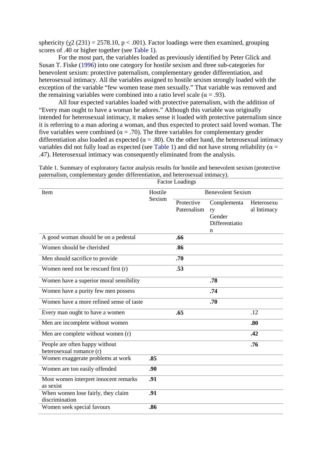sphericity ( $\chi$ 2 (231) = 2578.10, p < .001). Factor loadings were then examined, grouping scores of .40 or higher together (see Table 1).

For the most part, the variables loaded as previously identified by Peter Glick and Susan T. Fiske (1996) into one category for hostile sexism and three sub-categories for benevolent sexism: protective paternalism, complementary gender differentiation, and heterosexual intimacy. All the variables assigned to hostile sexism strongly loaded with the exception of the variable "few women tease men sexually." That variable was removed and the remaining variables were combined into a ratio level scale ( $\alpha = .93$ ).

All four expected variables loaded with protective paternalism, with the addition of "Every man ought to have a woman he adores." Although this variable was originally intended for heterosexual intimacy, it makes sense it loaded with protective paternalism since it is referring to a man adoring a woman, and thus expected to protect said loved woman. The five variables were combined ( $\alpha = .70$ ). The three variables for complementary gender differentiation also loaded as expected ( $\alpha = .80$ ). On the other hand, the heterosexual intimacy variables did not fully load as expected (see Table 1) and did not have strong reliability ( $\alpha$  = .47). Heterosexual intimacy was consequently eliminated from the analysis.

|                                                            |         | <b>Factor Loadings</b>    |                                               |                           |  |  |
|------------------------------------------------------------|---------|---------------------------|-----------------------------------------------|---------------------------|--|--|
| Item                                                       | Hostile | <b>Benevolent Sexism</b>  |                                               |                           |  |  |
|                                                            | Sexism  | Protective<br>Paternalism | Complementa<br>ry<br>Gender<br>Differentiatio | Heterosexu<br>al Intimacy |  |  |
| A good woman should be on a pedestal                       |         | .66                       | n                                             |                           |  |  |
| Women should be cherished                                  |         | .86                       |                                               |                           |  |  |
| Men should sacrifice to provide                            |         | .70                       |                                               |                           |  |  |
| Women need not be rescued first (r)                        |         | .53                       |                                               |                           |  |  |
| Women have a superior moral sensibility                    |         |                           | .78                                           |                           |  |  |
| Women have a purity few men possess                        |         |                           | .74                                           |                           |  |  |
| Women have a more refined sense of taste                   |         |                           | .70                                           |                           |  |  |
| Every man ought to have a women                            |         | .65                       |                                               | .12                       |  |  |
| Men are incomplete without women                           |         |                           |                                               | .80                       |  |  |
| Men are complete without women (r)                         |         |                           |                                               | .42                       |  |  |
| People are often happy without<br>heterosexual romance (r) |         |                           |                                               | .76                       |  |  |
| Women exaggerate problems at work                          | .85     |                           |                                               |                           |  |  |
| Women are too easily offended                              | .90     |                           |                                               |                           |  |  |
| Most women interpret innocent remarks<br>as sexist         | .91     |                           |                                               |                           |  |  |
| When women lose fairly, they claim<br>discrimination       | .91     |                           |                                               |                           |  |  |
| Women seek special favours                                 | .86     |                           |                                               |                           |  |  |

Table 1. Summary of exploratory factor analysis results for hostile and benevolent sexism (protective paternalism, complementary gender differentiation, and heterosexual intimacy).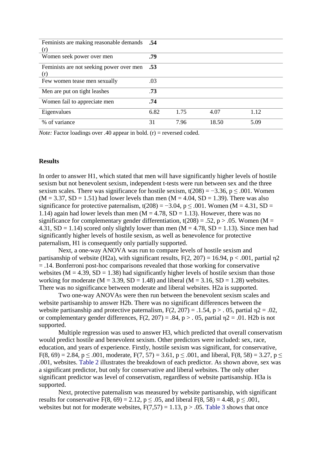| <b>Feminists are making reasonable demands</b> .54<br>(r) |      |      |       |      |
|-----------------------------------------------------------|------|------|-------|------|
| Women seek power over men                                 | .79  |      |       |      |
| Feminists are not seeking power over men<br>(r)           | .53  |      |       |      |
| Few women tease men sexually                              | .03  |      |       |      |
| Men are put on tight leashes                              | .73  |      |       |      |
| Women fail to appreciate men                              | .74  |      |       |      |
| Eigenvalues                                               | 6.82 | 1.75 | 4.07  | 1.12 |
| % of variance                                             | 31   | 7.96 | 18.50 | 5.09 |

*Note:* Factor loadings over .40 appear in bold.  $(r)$  = reversed coded.

#### **Results**

In order to answer H1, which stated that men will have significantly higher levels of hostile sexism but not benevolent sexism, independent t-tests were run between sex and the three sexism scales. There was significance for hostile sexism,  $t(208) = -3.36$ ,  $p \le 0.001$ . Women  $(M = 3.37, SD = 1.51)$  had lower levels than men  $(M = 4.04, SD = 1.39)$ . There was also significance for protective paternalism, t(208) = −3.04, p  $\leq$  .001. Women (M = 4.31, SD = 1.14) again had lower levels than men  $(M = 4.78, SD = 1.13)$ . However, there was no significance for complementary gender differentiation,  $t(208) = .52$ ,  $p > .05$ . Women (M = 4.31,  $SD = 1.14$ ) scored only slightly lower than men  $(M = 4.78, SD = 1.13)$ . Since men had significantly higher levels of hostile sexism, as well as benevolence for protective paternalism, H1 is consequently only partially supported.

Next, a one-way ANOVA was run to compare levels of hostile sexism and partisanship of website (H2a), with significant results,  $F(2, 207) = 16.94$ ,  $p < .001$ , partial  $\eta$ 2 = .14. Bonferroni post-hoc comparisons revealed that those working for conservative websites ( $M = 4.39$ ,  $SD = 1.38$ ) had significantly higher levels of hostile sexism than those working for moderate ( $M = 3.39$ ,  $SD = 1.48$ ) and liberal ( $M = 3.16$ ,  $SD = 1.28$ ) websites. There was no significance between moderate and liberal websites. H2a is supported.

Two one-way ANOVAs were then run between the benevolent sexism scales and website partisanship to answer H2b. There was no significant differences between the website partisanship and protective paternalism,  $F(2, 207) = .1.54$ , p > . 05, partial  $n^2 = .02$ , or complementary gender differences,  $F(2, 207) = .84$ ,  $p > .05$ , partial  $p2 = .01$ . H2b is not supported.

Multiple regression was used to answer H3, which predicted that overall conservatism would predict hostile and benevolent sexism. Other predictors were included: sex, race, education, and years of experience. Firstly, hostile sexism was significant, for conservative, F(8, 69) = 2.84, p  $\leq$  .001, moderate, F(7, 57) = 3.61, p  $\leq$  .001, and liberal, F(8, 58) = 3.27, p  $\leq$ .001, websites. Table 2 illustrates the breakdown of each predictor. As shown above, sex was a significant predictor, but only for conservative and liberal websites. The only other significant predictor was level of conservatism, regardless of website partisanship. H3a is supported.

Next, protective paternalism was measured by website partisanship, with significant results for conservative  $F(8, 69) = 2.12$ ,  $p \le 0.05$ , and liberal  $F(8, 58) = 4.48$ ,  $p \le 0.001$ , websites but not for moderate websites,  $F(7,57) = 1.13$ ,  $p > .05$ . Table 3 shows that once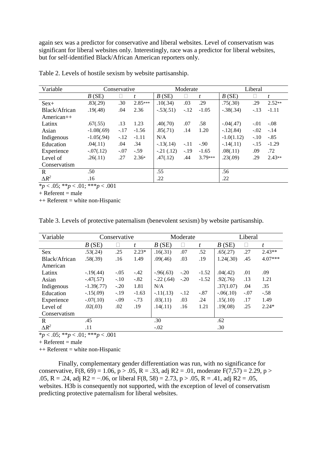again sex was a predictor for conservative and liberal websites. Level of conservatism was significant for liberal websites only. Interestingly, race was a predictor for liberal websites, but for self-identified Black/African American reporters only.

| Variable      | Conservative |        | Moderate         |             |        | Liberal |              |        |          |
|---------------|--------------|--------|------------------|-------------|--------|---------|--------------|--------|----------|
|               | B(SE)        |        | $\boldsymbol{t}$ | B(SE)       |        | t       | B(SE)        |        | t        |
| $Sex+$        | .83(.29)     | .30    | $2.85***$        | .10(.34)    | .03    | .29     | .75(.30)     | .29    | $2.52**$ |
| Black/African | .19(.48)     | .04    | 2.36             | $-.53(.51)$ | $-.12$ | $-1.05$ | $-.38(.34)$  | $-.13$ | $-1.11$  |
| $American++$  |              |        |                  |             |        |         |              |        |          |
| Latinx        | .67(.55)     | .13    | 1.23             | .40(.70)    | .07    | .58     | $-.04(.47)$  | $-.01$ | $-.08$   |
| Asian         | $-1.08(.69)$ | $-.17$ | $-1.56$          | .85(.71)    | .14    | 1.20    | $-.12(.84)$  | $-.02$ | $-.14$   |
| Indigenous    | $-1.05(.94)$ | $-.12$ | $-1.11$          | N/A         |        |         | $-1.0(1.12)$ | $-.10$ | $-.85$   |
| Education     | .04(.11)     | .04    | .34              | $-13(.14)$  | $-.11$ | $-.90$  | $-.14(.11)$  | $-.15$ | $-1.29$  |
| Experience    | $-.07(.12)$  | $-.07$ | $-.59$           | $-.21(.12)$ | $-.19$ | $-1.65$ | .08(.11)     | .09    | .72      |
| Level of      | .26(.11)     | .27    | $2.36*$          | .47(.12)    | .44    | 3.79*** | .23(.09)     | .29    | $2.43**$ |
| Conservatism  |              |        |                  |             |        |         |              |        |          |
| R             | .50          |        |                  | .55         |        |         | .56          |        |          |
| $\Delta R^2$  | .16          |        |                  | .22         |        |         | .22          |        |          |

Table 2. Levels of hostile sexism by website partisanship.

\**p* < .05; \*\**p* < .01; \*\*\**p* < .001

 $+$  Referent = male

 $++$  Referent = white non-Hispanic

Table 3. Levels of protective paternalism (benevolent sexism) by website partisanship.

| Variable      | Conservative  |        |         | Moderate     |        |         | Liberal     |        |           |
|---------------|---------------|--------|---------|--------------|--------|---------|-------------|--------|-----------|
|               | B(SE)         | Ш      | t       | B(SE)        | П      | t       | B(SE)       | Ш      | t         |
| <b>Sex</b>    | .53(.24)      | .25    | $2.23*$ | .16(.31)     | .07    | .52     | .65(.27)    | .27    | $2.43**$  |
| Black/African | .58(.39)      | .16    | 1.49    | .09(.46)     | .03    | .19     | 1.24(.30)   | .45    | $4.07***$ |
| American      |               |        |         |              |        |         |             |        |           |
| Latinx        | $-19(.44)$    | $-.05$ | $-.42$  | $-0.96(.63)$ | $-.20$ | $-1.52$ | .04(.42)    | .01    | .09       |
| Asian         | $-.47(.57)$   | $-.10$ | $-.82$  | $-.22(.64)$  | $-.20$ | $-1.52$ | .92(.76)    | .13    | 1.21      |
| Indigenous    | $-1.39(0.77)$ | $-.20$ | 1.81    | N/A          |        |         | .37(1.07)   | .04    | .35       |
| Education     | $-.15(.09)$   | $-.19$ | $-1.63$ | $-11(.13)$   | $-.12$ | $-.87$  | $-.06(.10)$ | $-.07$ | $-.58$    |
| Experience    | $-.07(.10)$   | $-.09$ | $-.73$  | .03(.11)     | .03    | .24     | .15(.10)    | .17    | 1.49      |
| Level of      | .02(.03)      | .02    | .19     | .14(.11)     | .16    | 1.21    | .19(.08)    | .25    | $2.24*$   |
| Conservatism  |               |        |         |              |        |         |             |        |           |
| $\mathbf R$   | .45           |        |         | .30          |        |         | .62         |        |           |
| $\Delta R^2$  | .11           |        |         | $-.02$       |        |         | .30         |        |           |

 $\frac{1}{2}$   $\frac{1}{2}$   $\frac{1}{2}$   $\frac{1}{2}$   $\frac{1}{2}$   $\frac{1}{2}$   $\frac{1}{2}$   $\frac{1}{2}$   $\frac{1}{2}$   $\frac{1}{2}$   $\frac{1}{2}$   $\frac{1}{2}$   $\frac{1}{2}$   $\frac{1}{2}$   $\frac{1}{2}$   $\frac{1}{2}$   $\frac{1}{2}$   $\frac{1}{2}$   $\frac{1}{2}$   $\frac{1}{2}$   $\frac{1}{2}$   $\frac{1}{2}$ 

 $+$  Referent = male

 $++$  Referent = white non-Hispanic

Finally, complementary gender differentiation was run, with no significance for conservative,  $F(8, 69) = 1.06$ ,  $p > .05$ ,  $R = .33$ , adj  $R2 = .01$ , moderate  $F(7, 57) = 2.29$ ,  $p >$ .05, R = .24, adj R2 = -.06, or liberal F(8, 58) = 2.73, p > .05, R = .41, adj R2 = .05, websites. H3b is consequently not supported, with the exception of level of conservatism predicting protective paternalism for liberal websites.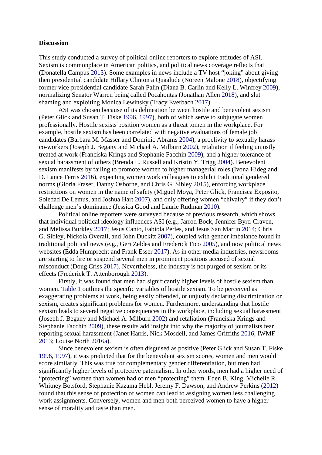#### **Discussion**

This study conducted a survey of political online reporters to explore attitudes of ASI. Sexism is commonplace in American politics, and political news coverage reflects that (Donatella Campus 2013). Some examples in news include a TV host "joking" about giving then presidential candidate Hillary Clinton a Quaalude (Noreen Malone 2018), objectifying former vice-presidential candidate Sarah Palin (Diana B. Carlin and Kelly L. Winfrey 2009), normalizing Senator Warren being called Pocahontas (Jonathan Allen 2018), and slut shaming and exploiting Monica Lewinsky (Tracy Everbach 2017).

ASI was chosen because of its delineation between hostile and benevolent sexism (Peter Glick and Susan T. Fiske 1996, 1997), both of which serve to subjugate women professionally. Hostile sexists position women as a threat tomen in the workplace. For example, hostile sexism has been correlated with negative evaluations of female job candidates (Barbara M. Masser and Dominic Abrams 2004), a proclivity to sexually harass co-workers (Joseph J. Begany and Michael A. Milburn 2002), retaliation if feeling unjustly treated at work (Franciska Krings and Stephanie Facchin 2009), and a higher tolerance of sexual harassment of others (Brenda L. Russell and Kristin Y. Trigg 2004). Benevolent sexism manifests by failing to promote women to higher managerial roles (Ivona Hideg and D. Lance Ferris 2016), expecting women work colleagues to exhibit traditional gendered norms (Gloria Fraser, Danny Osborne, and Chris G. Sibley 2015), enforcing workplace restrictions on women in the name of safety (Miguel Moya, Peter Glick, Francisca Exposito, Soledad De Lemus, and Joshua Hart 2007), and only offering women "chivalry" if they don't challenge men's dominance (Jessica Good and Laurie Rudman 2010).

Political online reporters were surveyed because of previous research, which shows that individual political ideology influences ASI (e.g., Jarrod Bock, Jennifer Byrd-Craven, and Melissa Burkley 2017; Jesus Canto, Fabiola Perles, and Jesus San Martin 2014; Chris G. Sibley, Nickola Overall, and John Duckitt 2007), coupled with gender imbalance found in traditional political news (e.g., Geri Zeldes and Frederick Fico 2005), and now political news websites (Edda Humprecht and Frank Esser 2017). As in other media industries, newsrooms are starting to fire or suspend several men in prominent positions accused of sexual misconduct (Doug Criss 2017). Nevertheless, the industry is not purged of sexism or its effects (Frederick T. Attenborough 2013).

Firstly, it was found that men had significantly higher levels of hostile sexism than women. Table 1 outlines the specific variables of hostile sexism. To be perceived as exaggerating problems at work, being easily offended, or unjustly declaring discrimination or sexism, creates significant problems for women. Furthermore, understanding that hostile sexism leads to several negative consequences in the workplace, including sexual harassment (Joseph J. Begany and Michael A. Milburn 2002) and retaliation (Franciska Krings and Stephanie Facchin 2009), these results add insight into why the majority of journalists fear reporting sexual harassment (Janet Harris, Nick Mosdell, and James Griffiths 2016; IWMF 2013; Louise North 2016a).

Since benevolent sexism is often disguised as positive (Peter Glick and Susan T. Fiske 1996, 1997), it was predicted that for the benevolent sexism scores, women and men would score similarly. This was true for complementary gender differentiation, but men had significantly higher levels of protective paternalism. In other words, men had a higher need of "protecting" women than women had of men "protecting" them. Eden B. King, Michelle R. Whitney Botsford, Stephanie Kazama Hebl, Jeremy F. Dawson, and Andrew Perkins (2012) found that this sense of protection of women can lead to assigning women less challenging work assignments. Conversely, women and men both perceived women to have a higher sense of morality and taste than men.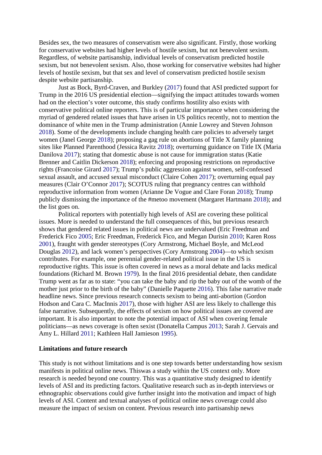Besides sex, the two measures of conservatism were also significant. Firstly, those working for conservative websites had higher levels of hostile sexism, but not benevolent sexism. Regardless, of website partisanship, individual levels of conservatism predicted hostile sexism, but not benevolent sexism. Also, those working for conservative websites had higher levels of hostile sexism, but that sex and level of conservatism predicted hostile sexism despite website partisanship.

Just as Bock, Byrd-Craven, and Burkley (2017) found that ASI predicted support for Trump in the 2016 US presidential election—signifying the impact attitudes towards women had on the election's voter outcome, this study confirms hostility also exists with conservative political online reporters. This is of particular importance when considering the myriad of gendered related issues that have arisen in US politics recently, not to mention the dominance of white men in the Trump administration (Annie Lowrey and Steven Johnson 2018). Some of the developments include changing health care policies to adversely target women (Janel George 2018); proposing a gag rule on abortions of Title X family planning sites like Planned Parenthood (Jessica Ravitz 2018); overturning guidance on Title IX (Maria Danilova 2017); stating that domestic abuse is not cause for immigration status (Katie Brenner and Caitlin Dickerson 2018); enforcing and proposing restrictions on reproductive rights (Francoise Girard 2017); Trump's public aggression against women, self-confessed sexual assault, and accused sexual misconduct (Claire Cohen 2017); overturning equal pay measures (Clair O'Connor 2017); SCOTUS ruling that pregnancy centres can withhold reproductive information from women (Arianne De Vogue and Clare Foran 2018); Trump publicly dismissing the importance of the #metoo movement (Margaret Hartmann 2018); and the list goes on.

Political reporters with potentially high levels of ASI are covering these political issues. More is needed to understand the full consequences of this, but previous research shows that gendered related issues in political news are undervalued (Eric Freedman and Frederick Fico 2005; Eric Freedman, Frederick Fico, and Megan Durisin 2010; Karen Ross 2001), fraught with gender stereotypes (Cory Armstrong, Michael Boyle, and McLeod Douglas 2012), and lack women's perspectives (Cory Armstrong 2004)—to which sexism contributes. For example, one perennial gender-related political issue in the US is reproductive rights. This issue is often covered in news as a moral debate and lacks medical foundations (Richard M. Brown 1979). In the final 2016 presidential debate, then candidate Trump went as far as to state: "you can take the baby and rip the baby out of the womb of the mother just prior to the birth of the baby" (Danielle Paquette 2016). This false narrative made headline news. Since previous research connects sexism to being anti-abortion (Gordon Hodson and Cara C. MacInnis 2017), those with higher ASI are less likely to challenge this false narrative. Subsequently, the effects of sexism on how political issues are covered are important. It is also important to note the potential impact of ASI when covering female politicians—as news coverage is often sexist (Donatella Campus 2013; Sarah J. Gervais and Amy L. Hillard 2011; Kathleen Hall Jamieson 1995).

#### **Limitations and future research**

This study is not without limitations and is one step towards better understanding how sexism manifests in political online news. Thiswas a study within the US context only. More research is needed beyond one country. This was a quantitative study designed to identify levels of ASI and its predicting factors. Qualitative research such as in-depth interviews or ethnographic observations could give further insight into the motivation and impact of high levels of ASI. Content and textual analyses of political online news coverage could also measure the impact of sexism on content. Previous research into partisanship news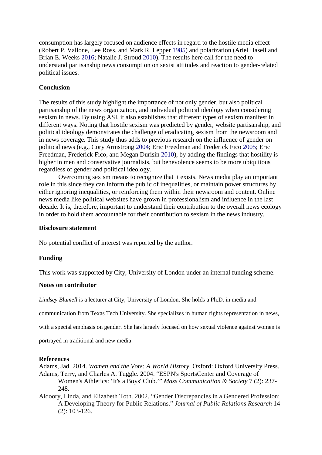consumption has largely focused on audience effects in regard to the hostile media effect (Robert P. Vallone, Lee Ross, and Mark R. Lepper 1985) and polarization (Ariel Hasell and Brian E. Weeks 2016; Natalie J. Stroud 2010). The results here call for the need to understand partisanship news consumption on sexist attitudes and reaction to gender-related political issues.

# **Conclusion**

The results of this study highlight the importance of not only gender, but also political partisanship of the news organization, and individual political ideology when considering sexism in news. By using ASI, it also establishes that different types of sexism manifest in different ways. Noting that hostile sexism was predicted by gender, website partisanship, and political ideology demonstrates the challenge of eradicating sexism from the newsroom and in news coverage. This study thus adds to previous research on the influence of gender on political news (e.g., Cory Armstrong 2004; Eric Freedman and Frederick Fico 2005; Eric Freedman, Frederick Fico, and Megan Durisin 2010), by adding the findings that hostility is higher in men and conservative journalists, but benevolence seems to be more ubiquitous regardless of gender and political ideology.

Overcoming sexism means to recognize that it exists. News media play an important role in this since they can inform the public of inequalities, or maintain power structures by either ignoring inequalities, or reinforcing them within their newsroom and content. Online news media like political websites have grown in professionalism and influence in the last decade. It is, therefore, important to understand their contribution to the overall news ecology in order to hold them accountable for their contribution to sexism in the news industry.

# **Disclosure statement**

No potential conflict of interest was reported by the author.

# **Funding**

This work was supported by City, University of London under an internal funding scheme.

# **Notes on contributor**

*Lindsey Blumell* is a lecturer at City, University of London. She holds a Ph.D. in media and

communication from Texas Tech University. She specializes in human rights representation in news,

with a special emphasis on gender. She has largely focused on how sexual violence against women is

portrayed in traditional and new media.

# **References**

Adams, Jad. 2014. *Women and the Vote: A World History*. Oxford: Oxford University Press. Adams, Terry, and Charles A. Tuggle. 2004. "ESPN's SportsCenter and Coverage of Women's Athletics: 'It's a Boys' Club.'" *Mass Communication & Society* 7 (2): 237- 248.

Aldoory, Linda, and Elizabeth Toth. 2002. "Gender Discrepancies in a Gendered Profession: A Developing Theory for Public Relations." *Journal of Public Relations Research* 14 (2): 103-126.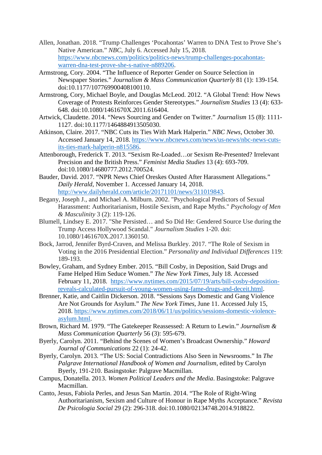- Allen, Jonathan. 2018. "Trump Challenges 'Pocahontas' Warren to DNA Test to Prove She's Native American." *NBC*, July 6. Accessed July 15, 2018. [https://www.nbcnews.com/politics/politics-news/trump-challenges-pocahontas](https://www.nbcnews.com/politics/politics-news/trump-challenges-pocahontas-warren-dna-test-prove-she-s-native-n889206)[warren-dna-test-prove-she-s-native-n889206.](https://www.nbcnews.com/politics/politics-news/trump-challenges-pocahontas-warren-dna-test-prove-she-s-native-n889206)
- Armstrong, Cory. 2004. "The Influence of Reporter Gender on Source Selection in Newspaper Stories." *Journalism & Mass Communication Quarterly* 81 (1): 139-154. doi:10.1177/107769900408100110.
- Armstrong, Cory, Michael Boyle, and Douglas McLeod. 2012. "A Global Trend: How News Coverage of Protests Reinforces Gender Stereotypes." *Journalism Studies* 13 (4): 633- 648. doi:10.1080/1461670X.2011.616404.
- Artwick, Claudette. 2014. "News Sourcing and Gender on Twitter." *Journalism* 15 (8): 1111- 1127. doi:10.1177/1464884913505030.
- Atkinson, Claire. 2017. "NBC Cuts its Ties With Mark Halperin." *NBC News*, October 30. Accessed January 14, 2018. [https://www.nbcnews.com/news/us-news/nbc-news-cuts](https://www.nbcnews.com/news/us-news/nbc-news-cuts-its-ties-mark-halperin-n815586)[its-ties-mark-halperin-n815586.](https://www.nbcnews.com/news/us-news/nbc-news-cuts-its-ties-mark-halperin-n815586)
- Attenborough, Frederick T. 2013. "Sexism Re-Loaded…or Sexism Re-Presented? Irrelevant Precision and the British Press." *Feminist Media Studies* 13 (4): 693-709. doi:10.1080/14680777.2012.700524.
- Bauder, David. 2017. "NPR News Chief Oreskes Ousted After Harassment Allegations." *Daily Herald*, November 1. Accessed January 14, 2018. [http://www.dailyherald.com/article/20171101/news/311019843.](http://www.dailyherald.com/article/20171101/news/311019843)
- Begany, Joseph J., and Michael A. Milburn. 2002. "Psychological Predictors of Sexual Harassment: Authoritarianism, Hostile Sexism, and Rape Myths." *Psychology of Men & Masculinity* 3 (2): 119-126.
- Blumell, Lindsey E. 2017. "She Persisted… and So Did He: Gendered Source Use during the Trump Access Hollywood Scandal." *Journalism Studies* 1-20. doi: 10.1080/1461670X.2017.1360150.
- Bock, Jarrod, Jennifer Byrd-Craven, and Melissa Burkley. 2017. "The Role of Sexism in Voting in the 2016 Presidential Election." *Personality and Individual Differences* 119: 189-193.
- Bowley, Graham, and Sydney Ember. 2015. "Bill Cosby, in Deposition, Said Drugs and Fame Helped Him Seduce Women." *The New York Times*, July 18. Accessed February 11, 2018. [https://www.nytimes.com/2015/07/19/arts/bill-cosby-deposition](https://www.nytimes.com/2015/07/19/arts/bill-cosby-deposition-reveals-calculated-pursuit-of-young-women-using-fame-drugs-and-deceit.html)[reveals-calculated-pursuit-of-young-women-using-fame-drugs-and-deceit.html.](https://www.nytimes.com/2015/07/19/arts/bill-cosby-deposition-reveals-calculated-pursuit-of-young-women-using-fame-drugs-and-deceit.html)
- Brenner, Katie, and Caitlin Dickerson. 2018. "Sessions Says Domestic and Gang Violence Are Not Grounds for Asylum." *The New York Times*, June 11. Accessed July 15, 2018. [https://www.nytimes.com/2018/06/11/us/politics/sessions-domestic-violence](https://www.nytimes.com/2018/06/11/us/politics/sessions-domestic-violence-asylum.html)[asylum.html.](https://www.nytimes.com/2018/06/11/us/politics/sessions-domestic-violence-asylum.html)
- Brown, Richard M. 1979. "The Gatekeeper Reassessed: A Return to Lewin." *Journalism & Mass Communication Quarterly* 56 (3): 595-679.
- Byerly, Carolyn. 2011. "Behind the Scenes of Women's Broadcast Ownership." *Howard Journal of Communications* 22 (1): 24-42.
- Byerly, Carolyn. 2013. "The US: Social Contradictions Also Seen in Newsrooms." In *The Palgrave International Handbook of Women and Journalism*, edited by Carolyn Byerly, 191-210. Basingstoke: Palgrave Macmillan.
- Campus, Donatella. 2013. *Women Political Leaders and the Media*. Basingstoke: Palgrave Macmillan.
- Canto, Jesus, Fabiola Perles, and Jesus San Martin. 2014. "The Role of Right-Wing Authoritarianism, Sexism and Culture of Honour in Rape Myths Acceptance." *Revista De Psicologia Social* 29 (2): 296-318. doi:10.1080/02134748.2014.918822.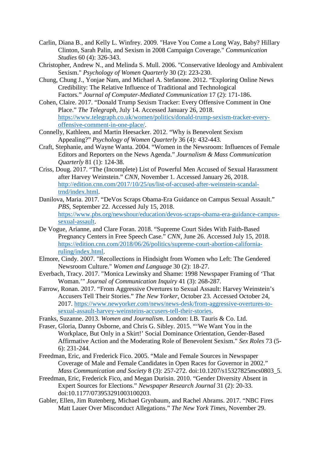- Carlin, Diana B., and Kelly L. Winfrey. 2009. "Have You Come a Long Way, Baby? Hillary Clinton, Sarah Palin, and Sexism in 2008 Campaign Coverage." *Communication Studies* 60 (4): 326-343.
- Christopher, Andrew N., and Melinda S. Mull. 2006. "Conservative Ideology and Ambivalent Sexism." *Psychology of Women Quarterly* 30 (2): 223-230.
- Chung, Chung J., Yonjae Nam, and Michael A. Stefanone. 2012. "Exploring Online News Credibility: The Relative Influence of Traditional and Technological Factors." *Journal of Computer‐Mediated Communication* 17 (2): 171-186.
- Cohen, Claire. 2017. "Donald Trump Sexism Tracker: Every Offensive Comment in One Place." *The Telegraph,* July 14. Accessed January 26, 2018. [https://www.telegraph.co.uk/women/politics/donald-trump-sexism-tracker-every](https://www.telegraph.co.uk/women/politics/donald-trump-sexism-tracker-every-offensive-comment-in-one-place/)[offensive-comment-in-one-place/.](https://www.telegraph.co.uk/women/politics/donald-trump-sexism-tracker-every-offensive-comment-in-one-place/)
- Connelly, Kathleen, and Martin Heesacker. 2012. "Why is Benevolent Sexism Appealing?" *Psychology of Women Quarterly* 36 (4): 432-443.
- Craft, Stephanie, and Wayne Wanta. 2004. "Women in the Newsroom: Influences of Female Editors and Reporters on the News Agenda." *Journalism & Mass Communication Quarterly* 81 (1): 124-38.
- Criss, Doug. 2017. "The (Incomplete) List of Powerful Men Accused of Sexual Harassment after Harvey Weinstein." *CNN*, November 1. Accessed January 26, 2018. [http://edition.cnn.com/2017/10/25/us/list-of-accused-after-weinstein-scandal](http://edition.cnn.com/2017/10/25/us/list-of-accused-after-weinstein-scandal-trnd/index.html)[trnd/index.html.](http://edition.cnn.com/2017/10/25/us/list-of-accused-after-weinstein-scandal-trnd/index.html)
- Danilova, Maria. 2017. "DeVos Scraps Obama-Era Guidance on Campus Sexual Assault." *PBS*, September 22. Accessed July 15, 2018. [https://www.pbs.org/newshour/education/devos-scraps-obama-era-guidance-campus](https://www.pbs.org/newshour/education/devos-scraps-obama-era-guidance-campus-sexual-assault)[sexual-assault.](https://www.pbs.org/newshour/education/devos-scraps-obama-era-guidance-campus-sexual-assault)
- De Vogue, Arianne, and Clare Foran. 2018. "Supreme Court Sides With Faith-Based Pregnancy Centers in Free Speech Case." *CNN*, June 26. Accessed July 15, 2018. [https://edition.cnn.com/2018/06/26/politics/supreme-court-abortion-california](https://edition.cnn.com/2018/06/26/politics/supreme-court-abortion-california-ruling/index.html)[ruling/index.html.](https://edition.cnn.com/2018/06/26/politics/supreme-court-abortion-california-ruling/index.html)
- Elmore, Cindy. 2007. "Recollections in Hindsight from Women who Left: The Gendered Newsroom Culture." *Women and Language* 30 (2): 18-27.
- Everbach, Tracy. 2017. "Monica Lewinsky and Shame: 1998 Newspaper Framing of 'That Woman.'" *Journal of Communication Inquiry* 41 (3): 268-287.
- Farrow, Ronan. 2017. "From Aggressive Overtures to Sexual Assault: Harvey Weinstein's Accusers Tell Their Stories." *The New Yorker*, October 23. Accessed October 24, 2017. [https://www.newyorker.com/news/news-desk/from-aggressive-overtures-to](https://www.newyorker.com/news/news-desk/from-aggressive-overtures-to-sexual-assault-harvey-weinsteins-accusers-tell-their-stories)[sexual-assault-harvey-weinsteins-accusers-tell-their-stories.](https://www.newyorker.com/news/news-desk/from-aggressive-overtures-to-sexual-assault-harvey-weinsteins-accusers-tell-their-stories)
- Franks, Suzanne. 2013. *Women and Journalism*. London: I.B. Tauris & Co. Ltd.
- Fraser, Gloria, Danny Osborne, and Chris G. Sibley. 2015. "'We Want You in the Workplace, But Only in a Skirt!' Social Dominance Orientation, Gender-Based Affirmative Action and the Moderating Role of Benevolent Sexism." *Sex Roles* 73 (5- 6): 231-244.
- Freedman, Eric, and Frederick Fico. 2005. "Male and Female Sources in Newspaper Coverage of Male and Female Candidates in Open Races for Governor in 2002." *Mass Communication and Society* 8 (3): 257-272. doi:10.1207/s15327825mcs0803\_5.
- Freedman, Eric, Frederick Fico, and Megan Durisin. 2010. "Gender Diversity Absent in Expert Sources for Elections." *Newspaper Research Journal* 31 (2): 20-33. doi:10.1177/073953291003100203.
- Gabler, Ellen, Jim Rutenberg, Michael Grynbaum, and Rachel Abrams. 2017. "NBC Fires Matt Lauer Over Misconduct Allegations." *The New York Times*, November 29.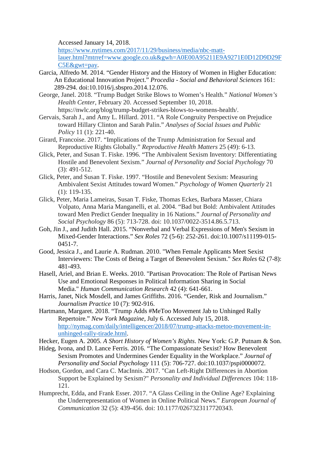Accessed January 14, 2018.

[https://www.nytimes.com/2017/11/29/business/media/nbc-matt-](https://www.nytimes.com/2017/11/29/business/media/nbc-matt-lauer.html?mtrref=www.google.co.uk&gwh=A0E00A95211E9A9271E0D12D9D29FC5E&gwt=pay)

[lauer.html?mtrref=www.google.co.uk&gwh=A0E00A95211E9A9271E0D12D9D29F](https://www.nytimes.com/2017/11/29/business/media/nbc-matt-lauer.html?mtrref=www.google.co.uk&gwh=A0E00A95211E9A9271E0D12D9D29FC5E&gwt=pay) [C5E&gwt=pay.](https://www.nytimes.com/2017/11/29/business/media/nbc-matt-lauer.html?mtrref=www.google.co.uk&gwh=A0E00A95211E9A9271E0D12D9D29FC5E&gwt=pay)

- Garcia, Alfredo M. 2014. "Gender History and the History of Women in Higher Education: An Educational Innovation Project." *Procedia - Social and Behavioral Sciences* 161: 289-294. doi:10.1016/j.sbspro.2014.12.076.
- George, Janel. 2018. "Trump Budget Strike Blows to Women's Health." *National Women's Health Center*, February 20. Accessed September 10, 2018. https://nwlc.org/blog/trump-budget-strikes-blows-to-womens-health/.
- Gervais, Sarah J., and Amy L. Hillard. 2011. "A Role Congruity Perspective on Prejudice toward Hillary Clinton and Sarah Palin." *Analyses of Social Issues and Public Policy* 11 (1): 221-40.
- Girard, Francoise. 2017. "Implications of the Trump Administration for Sexual and Reproductive Rights Globally." *Reproductive Health Matters* 25 (49): 6-13.
- Glick, Peter, and Susan T. Fiske. 1996. "The Ambivalent Sexism Inventory: Differentiating Hostile and Benevolent Sexism." *Journal of Personality and Social Psychology* 70 (3): 491-512.
- Glick, Peter, and Susan T. Fiske. 1997. "Hostile and Benevolent Sexism: Measuring Ambivalent Sexist Attitudes toward Women." *Psychology of Women Quarterly* 21 (1): 119-135.
- Glick, Peter, Maria Lameiras, Susan T. Fiske, Thomas Eckes, Barbara Masser, Chiara Volpato, Anna Maria Manganelli, et al. 2004. "Bad but Bold: Ambivalent Attitudes toward Men Predict Gender Inequality in 16 Nations." *Journal of Personality and Social Psychology* 86 (5): 713-728. doi: 10.1037/0022-3514.86.5.713.
- Goh, Jin J., and Judith Hall. 2015. "Nonverbal and Verbal Expressions of Men's Sexism in Mixed-Gender Interactions." *Sex Roles* 72 (5-6): 252-261. doi:10.1007/s11199-015- 0451-7.
- Good, Jessica J., and Laurie A. Rudman. 2010. "When Female Applicants Meet Sexist Interviewers: The Costs of Being a Target of Benevolent Sexism." *Sex Roles* 62 (7-8): 481-493.
- Hasell, Ariel, and Brian E. Weeks. 2010. "Partisan Provocation: The Role of Partisan News Use and Emotional Responses in Political Information Sharing in Social Media." *Human Communication Research* 42 (4): 641-661.
- Harris, Janet, Nick Mosdell, and James Griffiths. 2016. "Gender, Risk and Journalism." *Journalism Practice* 10 (7): 902-916.
- Hartmann, Margaret. 2018. "Trump Adds #MeToo Movement Jab to Unhinged Rally Repertoire." *New York Magazine*, July 6. Accessed July 15, 2018. [http://nymag.com/daily/intelligencer/2018/07/trump-attacks-metoo-movement-in](http://nymag.com/daily/intelligencer/2018/07/trump-attacks-metoo-movement-in-unhinged-rally-tirade.html)[unhinged-rally-tirade.html.](http://nymag.com/daily/intelligencer/2018/07/trump-attacks-metoo-movement-in-unhinged-rally-tirade.html)
- Hecker, Eugen A. 2005. *A Short History of Women's Rights*. New York: G.P. Putnam & Son.
- Hideg, Ivona, and D. Lance Ferris. 2016. "The Compassionate Sexist? How Benevolent Sexism Promotes and Undermines Gender Equality in the Workplace." *Journal of Personality and Social Psychology* 111 (5): 706-727. doi:10.1037/pspi0000072.
- Hodson, Gordon, and Cara C. MacInnis. 2017. "Can Left-Right Differences in Abortion Support be Explained by Sexism?" *Personality and Individual Differences* 104: 118- 121.
- Humprecht, Edda, and Frank Esser. 2017. "A Glass Ceiling in the Online Age? Explaining the Underrepresentation of Women in Online Political News." *European Journal of Communication* 32 (5): 439-456. doi: 10.1177/0267323117720343.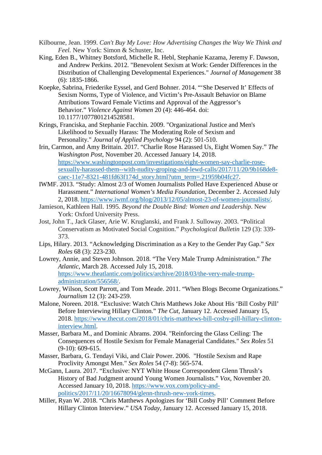- Kilbourne, Jean. 1999. *Can't Buy My Love: How Advertising Changes the Way We Think and Feel.* New York: Simon & Schuster, Inc.
- King, Eden B., Whitney Botsford, Michelle R. Hebl, Stephanie Kazama, Jeremy F. Dawson, and Andrew Perkins. 2012. "Benevolent Sexism at Work: Gender Differences in the Distribution of Challenging Developmental Experiences." *Journal of Management* 38 (6): 1835-1866.
- Koepke, Sabrina, Friederike Eyssel, and Gerd Bohner. 2014. "'She Deserved It' Effects of Sexism Norms, Type of Violence, and Victim's Pre-Assault Behavior on Blame Attributions Toward Female Victims and Approval of the Aggressor's Behavior." *Violence Against Women* 20 (4): 446-464. doi: 10.1177/1077801214528581.
- Krings, Franciska, and Stephanie Facchin. 2009. "Organizational Justice and Men's Likelihood to Sexually Harass: The Moderating Role of Sexism and Personality." *Journal of Applied Psychology* 94 (2): 501-510.
- Irin, Carmon, and Amy Brittain. 2017. "Charlie Rose Harassed Us, Eight Women Say." *The Washington Post*, November 20. Accessed January 14, 2018. [https://www.washingtonpost.com/investigations/eight-women-say-charlie-rose](https://www.washingtonpost.com/investigations/eight-women-say-charlie-rose-sexually-harassed-them--with-nudity-groping-and-lewd-calls/2017/11/20/9b168de8-caec-11e7-8321-481fd63f174d_story.html?utm_term=.21959b04fc27)[sexually-harassed-them--with-nudity-groping-and-lewd-calls/2017/11/20/9b168de8](https://www.washingtonpost.com/investigations/eight-women-say-charlie-rose-sexually-harassed-them--with-nudity-groping-and-lewd-calls/2017/11/20/9b168de8-caec-11e7-8321-481fd63f174d_story.html?utm_term=.21959b04fc27) [caec-11e7-8321-481fd63f174d\\_story.html?utm\\_term=.21959b04fc27.](https://www.washingtonpost.com/investigations/eight-women-say-charlie-rose-sexually-harassed-them--with-nudity-groping-and-lewd-calls/2017/11/20/9b168de8-caec-11e7-8321-481fd63f174d_story.html?utm_term=.21959b04fc27)
- IWMF. 2013. "Study: Almost 2/3 of Women Journalists Polled Have Experienced Abuse or Harassment." *International Women's Media Foundation*, December 2. Accessed July 2, 2018. [https://www.iwmf.org/blog/2013/12/05/almost-23-of-women-journalists/.](https://www.iwmf.org/blog/2013/12/05/almost-23-of-women-journalists/)
- Jamieson, Kathleen Hall. 1995. *Beyond the Double Bind: Women and Leadership*. New York: Oxford University Press.
- Jost, John T., Jack Glaser, Arie W. Kruglanski, and Frank J. Sulloway. 2003. "Political Conservatism as Motivated Social Cognition." *Psychological Bulletin* 129 (3): 339- 373.
- Lips, Hilary. 2013. "Acknowledging Discrimination as a Key to the Gender Pay Gap." *Sex Roles* 68 (3): 223-230.
- Lowrey, Annie, and Steven Johnson. 2018. "The Very Male Trump Administration." *The Atlantic*, March 28. Accessed July 15, 2018. [https://www.theatlantic.com/politics/archive/2018/03/the-very-male-trump](https://www.theatlantic.com/politics/archive/2018/03/the-very-male-trump-administration/556568/)[administration/556568/.](https://www.theatlantic.com/politics/archive/2018/03/the-very-male-trump-administration/556568/)
- Lowrey, Wilson, Scott Parrott, and Tom Meade. 2011. "When Blogs Become Organizations." *Journalism* 12 (3): 243-259.
- Malone, Noreen. 2018. "Exclusive: Watch Chris Matthews Joke About His 'Bill Cosby Pill' Before Interviewing Hillary Clinton." *The Cut*, January 12. Accessed January 15, 2018. [https://www.thecut.com/2018/01/chris-matthews-bill-cosby-pill-hillary-clinton](https://www.thecut.com/2018/01/chris-matthews-bill-cosby-pill-hillary-clinton-interview.html)[interview.html.](https://www.thecut.com/2018/01/chris-matthews-bill-cosby-pill-hillary-clinton-interview.html)
- Masser, Barbara M., and Dominic Abrams. 2004. "Reinforcing the Glass Ceiling: The Consequences of Hostile Sexism for Female Managerial Candidates." *Sex Roles* 51 (9-10): 609-615.
- Masser, Barbara, G. Tendayi Viki, and Clair Power. 2006. "Hostile Sexism and Rape Proclivity Amongst Men." *Sex Roles* 54 (7-8): 565-574.
- McGann, Laura. 2017. "Exclusive: NYT White House Correspondent Glenn Thrush's History of Bad Judgment around Young Women Journalists." *Vox*, November 20. Accessed January 10, 2018. [https://www.vox.com/policy-and](https://www.vox.com/policy-and-politics/2017/11/20/16678094/glenn-thrush-new-york-times)[politics/2017/11/20/16678094/glenn-thrush-new-york-times.](https://www.vox.com/policy-and-politics/2017/11/20/16678094/glenn-thrush-new-york-times)
- Miller, Ryan W. 2018. "Chris Matthews Apologizes for 'Bill Cosby Pill' Comment Before Hillary Clinton Interview." *USA Today*, January 12. Accessed January 15, 2018.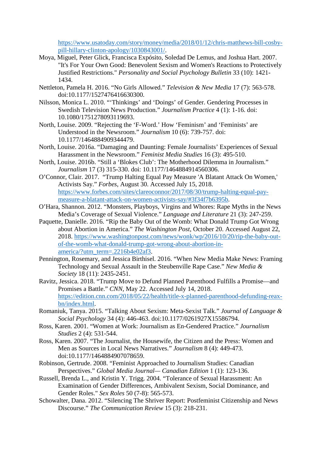[https://www.usatoday.com/story/money/media/2018/01/12/chris-matthews-bill-cosby](https://www.usatoday.com/story/money/media/2018/01/12/chris-matthews-bill-cosby-pill-hillary-clinton-apology/1030843001/)[pill-hillary-clinton-apology/1030843001/.](https://www.usatoday.com/story/money/media/2018/01/12/chris-matthews-bill-cosby-pill-hillary-clinton-apology/1030843001/)

- Moya, Miguel, Peter Glick, Francisca Expósito, Soledad De Lemus, and Joshua Hart. 2007. "It's For Your Own Good: Benevolent Sexism and Women's Reactions to Protectively Justified Restrictions." *Personality and Social Psychology Bulletin* 33 (10): 1421- 1434.
- Nettleton, Pamela H. 2016. "No Girls Allowed." *Television & New Media* 17 (7): 563-578. doi:10.1177/1527476416630300.
- Nilsson, Monica L. 2010. "'Thinkings' and 'Doings' of Gender. Gendering Processes in Swedish Television News Production." *Journalism Practice* 4 (1): 1-16. doi: 10.1080/1751278093119693.
- North, Louise. 2009. "Rejecting the 'F-Word.' How 'Feminism' and 'Feminists' are Understood in the Newsroom." *Journalism* 10 (6): 739-757. doi: 10.1177/1464884909344479.
- North, Louise. 2016a. "Damaging and Daunting: Female Journalists' Experiences of Sexual Harassment in the Newsroom." *Feminist Media Studies* 16 (3): 495-510.
- North, Louise. 2016b. "Still a 'Blokes Club': The Motherhood Dilemma in Journalism." *Journalism* 17 (3) 315-330. doi: 10.1177/1464884914560306.
- O'Connor, Clair. 2017. "Trump Halting Equal Pay Measure 'A Blatant Attack On Women,' Activists Say." *Forbes*, August 30. Accessed July 15, 2018. [https://www.forbes.com/sites/clareoconnor/2017/08/30/trump-halting-equal-pay](https://www.forbes.com/sites/clareoconnor/2017/08/30/trump-halting-equal-pay-measure-a-blatant-attack-on-women-activists-say/#3f34f7b6395b)[measure-a-blatant-attack-on-women-activists-say/#3f34f7b6395b.](https://www.forbes.com/sites/clareoconnor/2017/08/30/trump-halting-equal-pay-measure-a-blatant-attack-on-women-activists-say/#3f34f7b6395b)
- O'Hara, Shannon. 2012. "Monsters, Playboys, Virgins and Whores: Rape Myths in the News Media's Coverage of Sexual Violence." *Language and Literature* 21 (3): 247-259.
- Paquette, Danielle. 2016. "Rip the Baby Out of the Womb: What Donald Trump Got Wrong about Abortion in America." *The Washington Post*, October 20. Accessed August 22, 2018. [https://www.washingtonpost.com/news/wonk/wp/2016/10/20/rip-the-baby-out](https://www.washingtonpost.com/news/wonk/wp/2016/10/20/rip-the-baby-out-of-the-womb-what-donald-trump-got-wrong-about-abortion-in-america/?utm_term=.2216b4e02af3)[of-the-womb-what-donald-trump-got-wrong-about-abortion-in](https://www.washingtonpost.com/news/wonk/wp/2016/10/20/rip-the-baby-out-of-the-womb-what-donald-trump-got-wrong-about-abortion-in-america/?utm_term=.2216b4e02af3)[america/?utm\\_term=.2216b4e02af3.](https://www.washingtonpost.com/news/wonk/wp/2016/10/20/rip-the-baby-out-of-the-womb-what-donald-trump-got-wrong-about-abortion-in-america/?utm_term=.2216b4e02af3)
- Pennington, Rosemary, and Jessica Birthisel. 2016. "When New Media Make News: Framing Technology and Sexual Assault in the Steubenville Rape Case." *New Media & Society* 18 (11): 2435-2451.
- Ravitz, Jessica. 2018. "Trump Move to Defund Planned Parenthood Fulfills a Promise—and Promises a Battle." *CNN*, May 22. Accessed July 14, 2018. [https://edition.cnn.com/2018/05/22/health/title-x-planned-parenthood-defunding-reax](https://edition.cnn.com/2018/05/22/health/title-x-planned-parenthood-defunding-reax-bn/index.html)[bn/index.html.](https://edition.cnn.com/2018/05/22/health/title-x-planned-parenthood-defunding-reax-bn/index.html)
- Romaniuk, Tanya. 2015. "Talking About Sexism: Meta-Sexist Talk." *Journal of Language & Social Psychology* 34 (4): 446-463. doi:10.1177/0261927X15586794.
- Ross, Karen. 2001. "Women at Work: Journalism as En-Gendered Practice." *Journalism Studies* 2 (4): 531-544.
- Ross, Karen. 2007. "The Journalist, the Housewife, the Citizen and the Press: Women and Men as Sources in Local News Narratives." *Journalism* 8 (4): 449-473. doi:10.1177/1464884907078659.
- Robinson, Gertrude. 2008. "Feminist Approached to Journalism Studies: Canadian Perspectives." *Global Media Journal— Canadian Edition* 1 (1): 123-136.
- Russell, Brenda L., and Kristin Y. Trigg. 2004. "Tolerance of Sexual Harassment: An Examination of Gender Differences, Ambivalent Sexism, Social Dominance, and Gender Roles." *Sex Roles* 50 (7-8): 565-573.
- Schowalter, Dana. 2012. "Silencing The Shriver Report: Postfeminist Citizenship and News Discourse." *The Communication Review* 15 (3): 218-231.